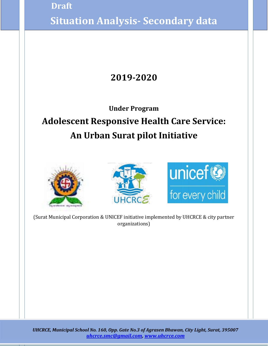) **Situation Analysis- Secondary data Draft**

### **2019-2020**

### **Under Program Adolescent Responsive Health Care Service: An Urban Surat pilot Initiative**







1

(Surat Municipal Corporation & UNICEF initiative implemented by UHCRCE & city partner organizations)

*UHCRCE, Municipal School No. 160, Opp. Gate No.3 of Agrasen Bhawan, City Light, Surat, 395007 [uhcrce.smc@gmail.com,](mailto:uhcrce.smc@gmail.com) [www.uhcrce.com](http://www.uhcrce.com/)*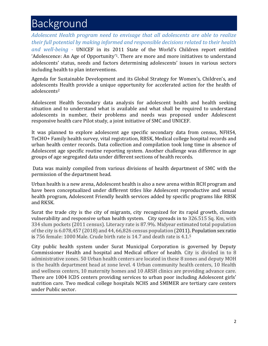# Background

*Adolescent Health program need to envisage that all adolescents are able to realize their full potential by making informed and responsible decisions related to their health and well-being -* UNICEF in its 2011 State of the World's Children report entitled 'Adolescence: An Age of Opportunity'1. There are more and more initiatives to understand adolescents' status, needs and factors determining adolescents' issues in various sectors including health to plan interventions.

Agenda for Sustainable Development and its Global Strategy for Women's, Children's, and adolescents Health provide a unique opportunity for accelerated action for the health of adolescents<sup>2</sup>

Adolescent Health Secondary data analysis for adolescent health and health seeking situation and to understand what is available and what shall be required to understand adolescents in number, their problems and needs was proposed under Adolescent responsive health care Pilot study, a joint initiative of SMC and UNICEF.

It was planned to explore adolescent age specific secondary data from census, NFHS4, TeCHO+ Family health survey, vital registration, RBSK, Medical college hospital records and urban health center records. Data collection and compilation took long time in absence of Adolescent age specific routine reporting system. Another challenge was difference in age groups of age segregated data under different sections of health records.

Data was mainly compiled from various divisions of health department of SMC with the permission of the department head.

Urban health is a new arena, Adolescent health is also a new arena within RCH program and have been conceptualized under different titles like Adolescent reproductive and sexual health program, Adolescent Friendly health services added by specific programs like RBSK and RKSK.

Surat the trade city is the city of migrants, city recognized for its rapid growth, climate vulnerability and responsive urban health system. City spreads in to 326.515 Sq. Km, with 334 slum pockets (2011 census). Literacy rate is 87.9%. Midyear estimated total population of the city is 6.078,457 (2018) and 44, 66,826 census population (2011). Population sex ratio is 756 female: 1000 Male. Crude birth rate is 14.7 and death rate is 4.1.<sup>5</sup>

City public health system under Surat Municipal Corporation is governed by Deputy Commissioner Health and hospital and Medical officer of health. City is divided in to 8 administrative zones. 50 Urban health centers are located in these 8 zones and deputy MOH is the health department head at zone level. 4 Urban community health centers, 10 Health and wellness centers, 10 maternity homes and 10 ARSH clinics are providing advance care. There are 1004 ICDS centers providing services to urban poor including Adolescent girls' nutrition care. Two medical college hospitals NCHS and SMIMER are tertiary care centers under Public sector.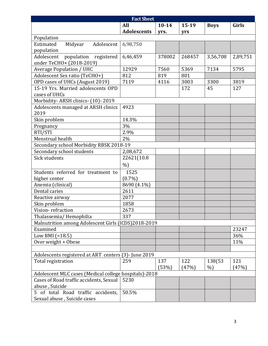| <b>Fact Sheet</b>                                     |                    |           |         |             |          |
|-------------------------------------------------------|--------------------|-----------|---------|-------------|----------|
|                                                       | All                | $10 - 14$ | $15-19$ | <b>Boys</b> | Girls    |
|                                                       | <b>Adolescents</b> | yrs.      | yrs     |             |          |
| Population                                            |                    |           |         |             |          |
| Estimated<br>Midyear<br>Adolescent                    | 6,98,750           |           |         |             |          |
| population                                            |                    |           |         |             |          |
| population registered<br>Adolescent                   | 6,46,459           | 378002    | 268457  | 3,56,708    | 2,89,751 |
| under TeCHO+ (2018-2019)                              |                    |           |         |             |          |
| <b>Average Population / UHC</b>                       | 12929              | 7560      | 5369    | 7134        | 5795     |
| Adolescent Sex ratio (TeCHO+)                         | 812                | 819       | 801     |             |          |
| OPD cases of UHCs (August 2019)                       | 7119               | 4116      | 3003    | 3300        | 3819     |
| 15-19 Yrs. Married adolescents OPD                    |                    |           | 172     | 45          | 127      |
| cases of UHCs                                         |                    |           |         |             |          |
| Morbidity-ARSH clinics- (10)-2019                     |                    |           |         |             |          |
| Adolescents managed at ARSH clinics                   | 4923               |           |         |             |          |
| 2019                                                  |                    |           |         |             |          |
| Skin problem                                          | 14.3%              |           |         |             |          |
| Pregnancy                                             | 3%                 |           |         |             |          |
| RTI/STI                                               | 2.9%               |           |         |             |          |
| Menstrual health                                      | 2%                 |           |         |             |          |
| Secondary school Morbidity RBSK 2018-19               |                    |           |         |             |          |
| Secondary school students                             | 2,08,672           |           |         |             |          |
| Sick students                                         | 22621(10.8         |           |         |             |          |
|                                                       | $\%$               |           |         |             |          |
| Students referred for treatment to                    | 1525               |           |         |             |          |
| higher center                                         | $(0.7\%)$          |           |         |             |          |
| Anemia (clinical)                                     | 8690 (4.1%)        |           |         |             |          |
| Dental caries                                         | 2611               |           |         |             |          |
| Reactive airway                                       | 2077               |           |         |             |          |
| Skin problem                                          | 1858               |           |         |             |          |
| Vision-refraction                                     | 2673               |           |         |             |          |
| Thalassemia/Hemophilia                                | 337                |           |         |             |          |
| Malnutrition among Adolescent Girls (ICDS)2018-2019   |                    |           |         |             |          |
| Examined                                              |                    |           |         |             | 23247    |
| Low BMI (<18.5)                                       |                    |           |         |             | 36%      |
| Over weight + Obese                                   |                    |           |         |             | 11%      |
|                                                       |                    |           |         |             |          |
| Adolescents registered at ART centers (3)- June 2019  |                    |           |         |             |          |
| Total registration                                    | 259                | 137       | 122     | 138(53      | 121      |
|                                                       |                    | (53%)     | (47%)   | $\%$        | (47%)    |
| Adolescent MLC cases (Medical college hospitals)-2018 |                    |           |         |             |          |
| Cases of Road traffic accidents, Sexual               | 5230               |           |         |             |          |
| abuse, Suicide                                        |                    |           |         |             |          |
| 5 of total Road traffic accidents,                    | 50.5%              |           |         |             |          |
| Sexual abuse, Suicide cases                           |                    |           |         |             |          |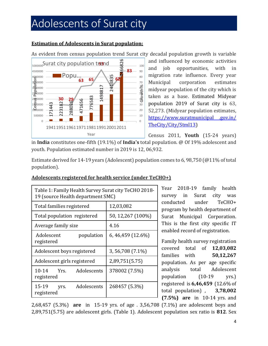## Adolescents of Surat city

#### **Estimation of Adolescents in Surat population;**

As evident from census population trend Surat city decadal population growth is variable



and influenced by economic activities and job opportunities, with in migration rate influence. Every year Municipal corporation estimates midyear population of the city which is taken as a base. Estimated Midyear population 2019 of Surat city is 63, 52,273. (Midyear population estimates, https://www.suratmunicipal .gov.in/ TheCity/City/Stml13)

Census 2011, **Youth** (15-24 years) in **India** constitutes one-fifth (19.1%) of **India's** total population. @ Of 19% adolescent and youth. Population estimated number in 2019 is 12, 06,932.

Estimate derived for 14-19 years (Adolescent) population comes to 6, 98,750 (@11% of total population).

| Table 1: Family Health Survey Surat city TeCHO 2018-<br>19 (source Health department SMC) |                    |  |  |
|-------------------------------------------------------------------------------------------|--------------------|--|--|
| Total families registered                                                                 | 12,03,082          |  |  |
| Total population registered                                                               | 50, 12, 267 (100%) |  |  |
| Average family size                                                                       | 4.16               |  |  |
| Adolescent<br>population<br>registered                                                    | 6, 46, 459 (12.6%) |  |  |
| Adolescent boys registered                                                                | 3,56,708 (7.1%)    |  |  |
| Adolescent girls registered                                                               | 2,89,751(5.75)     |  |  |
| Adolescents<br>$10 - 14$<br>Yrs.<br>registered                                            | 378002 (7.5%)      |  |  |
| Adolescents<br>15-19<br>yrs.<br>registered                                                | 268457 (5.3%)      |  |  |

#### **Adolescents registered for health service (under TeCHO+)**

Year 2018-19 family health survey in Surat city was conducted under TeCHO+ program by health department of Surat Municipal Corporation. This is the first city specific IT enabled record of registration.

Family health survey registration covered total of **12,03,082** families with **50,12,267** population. As per age specific analysis total Adolescent population (10-19 yrs.) registered is **6,46,459** (12.6% of total population) , **3,78,002 (7.5%) are** in 10-14 yrs. and

2,68,457 (5.3%) **are** in 15-19 yrs. of age . 3,56,708 (7.1%) are adolescent boys and 2,89,751(5.75) are adolescent girls. (Table 1). Adolescent population sex ratio is **812**. Sex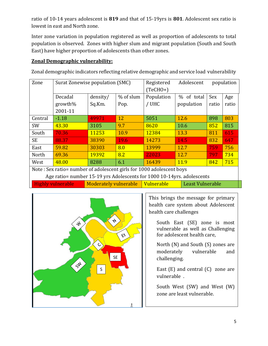ratio of 10-14 years adolescent is **819** and that of 15-19yrs is **801**. Adolescent sex ratio is lowest in east and North zone.

Inter zone variation in population registered as well as proportion of adolescents to total population is observed. Zones with higher slum and migrant population (South and South East) have higher proportion of adolescents than other zones.

### **Zonal Demographic vulnerability:**

Zonal demographic indicators reflecting relative demographic and service load vulnerability

| Zone                                                                   | Surat Zonewise population (SMC) |                       | Registered | Adolescent                            | population |       |       |
|------------------------------------------------------------------------|---------------------------------|-----------------------|------------|---------------------------------------|------------|-------|-------|
|                                                                        |                                 |                       |            | $(TeCHO+)$                            |            |       |       |
|                                                                        | Decadal                         | density/              | % of slum  | Population                            | % of total | Sex   | Age   |
|                                                                        | growth%                         | Sq.Km.                | Pop.       | / UHC                                 | population | ratio | ratio |
|                                                                        | 2001-11                         |                       |            |                                       |            |       |       |
| Central                                                                | $-1.18$                         | 49971                 | 12         | 5051                                  | 12.6       | 898   | 803   |
| SW                                                                     | 43.30                           | 3105                  | 9.7        | 8620                                  | 10.6       | 852   | 815   |
| South                                                                  | 70.36                           | 11253                 | 10.9       | 12384                                 | 13.3       | 811   | 615   |
| <b>SE</b>                                                              | 88.37                           | 38390                 | 19.6       | 14273                                 | 14.5       | 832   | 647   |
| East                                                                   | 59.82                           | 30303                 | 8.0        | 13999                                 | 12.7       | 759   | 756   |
| North                                                                  | 69.36                           | 19392                 | 8.2        | 22023                                 | 12.7       | 797   | 734   |
| West                                                                   | 48.00                           | 8288                  | 6.1        | 16439                                 | 11.9       | 842   | 715   |
| Note: Sex ratio= number of adolescent girls for 1000 adolescent boys   |                                 |                       |            |                                       |            |       |       |
| Age ratio= number 15-19 yrs Adolescents for 1000 10-14yrs. adolescents |                                 |                       |            |                                       |            |       |       |
|                                                                        | Highly vulnerable               | Moderately vulnerable |            | Vulnerable<br><b>Least Vulnerable</b> |            |       |       |



This brings the message for primary health care system about Adolescent health care challenges

South East (SE) zone is most vulnerable as well as Challenging for adolescent health care,

North (N) and South (S) zones are moderately vulnerable and challenging.

East  $(E)$  and central  $(C)$  zone are vulnerable .

South West (SW) and West (W) zone are least vulnerable.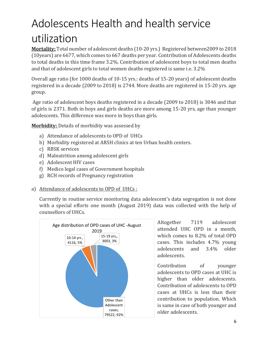# Adolescents Health and health service utilization

**Mortality:** Total number of adolescent deaths (10-20 yrs.) Registered between2009 to 2018 (10years) are 6677, which comes to 667 deaths per year. Contribution of Adolescents deaths to total deaths in this time frame 3.2%. Contribution of adolescent boys to total men deaths and that of adolescent girls to total women deaths registered is same i.e. 3.2%

Overall age ratio (for 1000 deaths of 10-15 yrs.: deaths of 15-20 years) of adolescent deaths registered in a decade (2009 to 2018) is 2744. More deaths are registered in 15-20 yrs. age group.

Age ratio of adolescent boys deaths registered in a decade (2009 to 2018) is 3046 and that of girls is 2371. Both in boys and girls deaths are more among 15-20 yrs, age than younger adolescents. This difference was more in boys than girls.

**Morbidity:** Details of morbidity was assessed by

- a) Attendance of adolescents to OPD of UHCs
- b) Morbidity registered at ARSH clinics at ten Urban health centers.
- c) RBSK services
- d) Malnutrition among adolescent girls
- e) Adolescent HIV cases
- f) Medico legal cases of Government hospitals
- g) RCH records of Pregnancy registration
- a) Attendance of adolescents to OPD of UHCs :

Currently in routine service monitoring data adolescent's data segregation is not done with a special efforts one month (August 2019) data was collected with the help of counsellors of UHCs.



Altogether 7119 adolescent attended UHC OPD in a month, which comes to 8.2% of total OPD cases. This includes 4.7% young adolescents and 3.4% older adolescents.

Contribution of younger adolescents to OPD cases at UHC is higher than older adolescents. Contribution of adolescents to OPD cases at UHCs is less than their contribution to population. Which is same in case of both younger and older adolescents.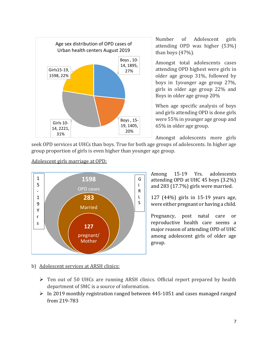

Number of Adolescent girls attending OPD was higher (53%) than boys (47%).

Amongst total adolescents cases attending OPD highest were girls in older age group 31%, followed by boys in 1younger age group 27%, girls in older age group 22% and Boys in older age group 20%

When age specific analysis of boys and girls attending OPD is done girls were 55% in younger age group and 65% in older age group.

Amongst adolescents more girls

seek OPD services at UHCs than boys. True for both age groups of adolescents. In higher age group proportion of girls is even higher than younger age group.

#### **1598** OPD cases **283** s **Married 127** pregnant/ Mother 1 5 - 1 9 Y r s G I R L S

#### Adolescent girls marriage at OPD:

Among 15-19 Yrs. adolescents attending OPD at UHC 45 boys (3.2%) and 283 (17.7%) girls were married.

127 (44%) girls in 15-19 years age, were either pregnant or having a child.

Pregnancy, post natal care or reproductive health care seems a major reason of attending OPD of UHC among adolescent girls of older age group.

#### b) Adolescent services at ARSH clinics:

- Ten out of 50 UHCs are running ARSH clinics. Official report prepared by health department of SMC is a source of information.
- $\triangleright$  In 2019 monthly registration ranged between 445-1051 and cases managed ranged from 219-783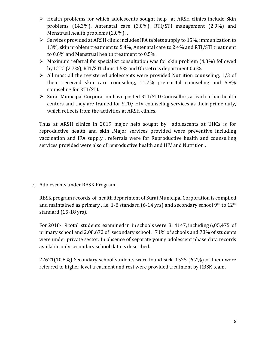- $\triangleright$  Health problems for which adolescents sought help at ARSH clinics include Skin problems (14.3%), Antenatal care (3.0%), RTI/STI management (2.9%) and Menstrual health problems (2.0%). **.**
- $\triangleright$  Services provided at ARSH clinic includes IFA tablets supply to 15%, immunization to 13%, skin problem treatment to 5.4%, Antenatal care to 2.4% and RTI/STI treatment to 0.6% and Menstrual health treatment to 0.5%.
- $\triangleright$  Maximum referral for specialist consultation was for skin problem (4.3%) followed by ICTC (2.7%), RTI/STI clinic 1.5% and Obstetrics department 0.6%.
- $\triangleright$  All most all the registered adolescents were provided Nutrition counseling, 1/3 of them received skin care counseling, 11.7% premarital counseling and 5.8% counseling for RTI/STI.
- $\triangleright$  Surat Municipal Corporation have posted RTI/STD Counsellors at each urban health centers and they are trained for STD/ HIV counseling services as their prime duty, which reflects from the activities at ARSH clinics.

Thus at ARSH clinics in 2019 major help sought by adolescents at UHCs is for reproductive health and skin .Major services provided were preventive including vaccination and IFA supply , referrals were for Reproductive health and counselling services provided were also of reproductive health and HIV and Nutrition .

#### c) Adolescents under RBSK Program:

RBSK program records of health department of Surat Municipal Corporation is compiled and maintained as primary, i.e. 1-8 standard  $(6-14 \text{ yrs})$  and secondary school 9<sup>th</sup> to 12<sup>th</sup> standard (15-18 yrs).

For 2018-19 total students examined in in schools were 814147, including 6,05,475 of primary school and 2,08,672 of secondary school . 71% of schools and 73% of students were under private sector. In absence of separate young adolescent phase data records available only secondary school data is described.

22621(10.8%) Secondary school students were found sick. 1525 (6.7%) of them were referred to higher level treatment and rest were provided treatment by RBSK team.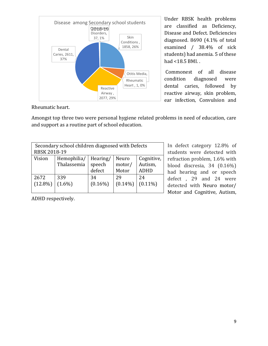

Under RBSK health problems are classified as Deficiency, Disease and Defect. Deficiencies diagnosed. 8690 (4.1% of total examined / 38.4% of sick students) had anemia. 5 of these had <18.5 BMI. .

Commonest of all disease condition diagnosed were dental caries, followed by reactive airway, skin problem, ear infection, Convulsion and

Rheumatic heart.

Amongst top three two were personal hygiene related problems in need of education, care and support as a routine part of school education.

| Secondary school children diagnosed with Defects<br><b>RBSK 2018-19</b> |                            |                              |                          |                                      |  |
|-------------------------------------------------------------------------|----------------------------|------------------------------|--------------------------|--------------------------------------|--|
| Vision                                                                  | Hemophilia/<br>Thalassemia | Hearing/<br>speech<br>defect | Neuro<br>motor/<br>Motor | Cognitive,<br>Autism,<br><b>ADHD</b> |  |
| 2672<br>$(12.8\%)$                                                      | 339<br>$(1.6\%)$           | 34<br>$(0.16\%)$             | 29<br>$(0.14\%)$         | 24<br>$(0.11\%)$                     |  |

In defect category 12.8% of students were detected with refraction problem, 1.6% with blood discresia, 34 (0.16%) had hearing and or speech defect , 29 and 24 were detected with Neuro motor/ Motor and Cognitive, Autism,

ADHD respectively.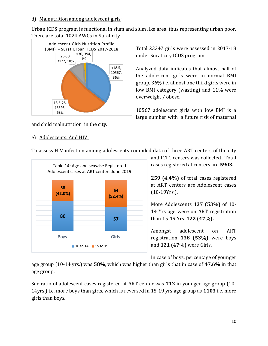#### d) Malnutrition among adolescent girls:

Urban ICDS program is functional in slum and slum like area, thus representing urban poor. There are total 1024 AWCs in Surat city.



and child malnutrition in the city.

#### e) Adolescents. And HIV:

Total 23247 girls were assessed in 2017-18 under Surat city ICDS program.

Analyzed data indicates that almost half of the adolescent girls were in normal BMI group, 36% i.e. almost one third girls were in low BMI category (wasting) and 11% were overweight / obese.

10567 adolescent girls with low BMI is a large number with a future risk of maternal

To assess HIV infection among adolescents compiled data of three ART centers of the city



and ICTC centers was collected.. Total cases registered at centers are **5903.**

**259 (4.4%)** of total cases registered at ART centers are Adolescent cases (10-19Yrs.).

More Adolescents **137 (53%)** of 10- 14 Yrs age were on ART registration than 15-19 Yrs. **122 (47%).**

Amongst adolescent on ART registration **138 (53%)** were boys and **121 (47%)** were Girls.

In case of boys, percentage of younger

age group (10-14 yrs.) was **58%**, which was higher than girls that in case of **47.6%** in that age group.

Sex ratio of adolescent cases registered at ART center was **712** in younger age group (10- 14yrs.) i.e. more boys than girls, which is reversed in 15-19 yrs age group as **1103** i.e. more girls than boys.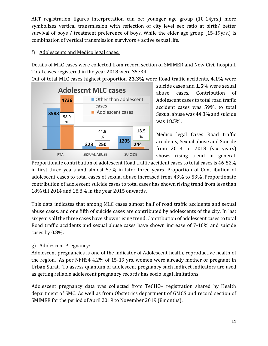ART registration figures interpretation can be: younger age group (10-14yrs.) more symbolizes vertical transmission with reflection of city level sex ratio at birth/ better survival of boys / treatment preference of boys. While the elder age group (15-19yrs.) is combination of vertical transmission survivors + active sexual life.

#### f) Adolescents and Medico legal cases:

Details of MLC cases were collected from record section of SMIMER and New Civil hospital. Total cases registered in the year 2018 were 35734.

Out of total MLC cases highest proportion **23.3%** were Road traffic accidents, **4.1%** were



suicide cases and **1.5%** were sexual abuse cases. Contribution of Adolescent cases to total road traffic accident cases was 59%, to total Sexual abuse was 44.8% and suicide was 18.5%.

Medico legal Cases Road traffic accidents, Sexual abuse and Suicide from 2013 to 2018 (six years) shows rising trend in general.

Proportionate contribution of adolescent Road traffic accident cases to total cases is 46-52% in first three years and almost 57% in later three years. Proportion of Contribution of adolescent cases to total cases of sexual abuse increased from 43% to 53% .Proportionate contribution of adolescent suicide cases to total cases has shown rising trend from less than 18% till 2014 and 18.8% in the year 2015 onwards.

This data indicates that among MLC cases almost half of road traffic accidents and sexual abuse cases, and one fifth of suicide cases are contributed by adolescents of the city. In last six years all the three cases have shown rising trend. Contribution of adolescent cases to total Road traffic accidents and sexual abuse cases have shown increase of 7-10% and suicide cases by 0.8%.

#### g) Adolescent Pregnancy:

Adolescent pregnancies is one of the indicator of Adolescent health, reproductive health of the region. As per NFHS4 4.2% of 15-19 yrs. women were already mother or pregnant in Urban Surat. To assess quantum of adolescent pregnancy such indirect indicators are used as getting reliable adolescent pregnancy records has socio legal limitations.

Adolescent pregnancy data was collected from TeCHO+ registration shared by Health department of SMC. As well as from Obstetrics department of GMCS and record section of SMIMER for the period of April 2019 to November 2019 (8months).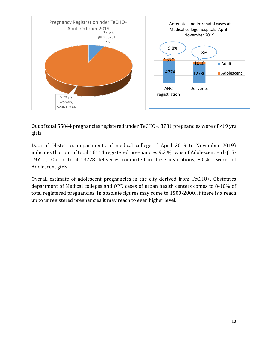

Out of total 55844 pregnancies registered under TeCHO+, 3781 pregnancies were of <19 yrs girls.

Data of Obstetrics departments of medical colleges ( April 2019 to November 2019) indicates that out of total 16144 registered pregnancies 9.3 % was of Adolescent girls(15- 19Yrs.), Out of total 13728 deliveries conducted in these institutions, 8.0% were of Adolescent girls.

Overall estimate of adolescent pregnancies in the city derived from TeCHO+, Obstetrics department of Medical colleges and OPD cases of urban health centers comes to 8-10% of total registered pregnancies. In absolute figures may come to 1500-2000. If there is a reach up to unregistered pregnancies it may reach to even higher level.